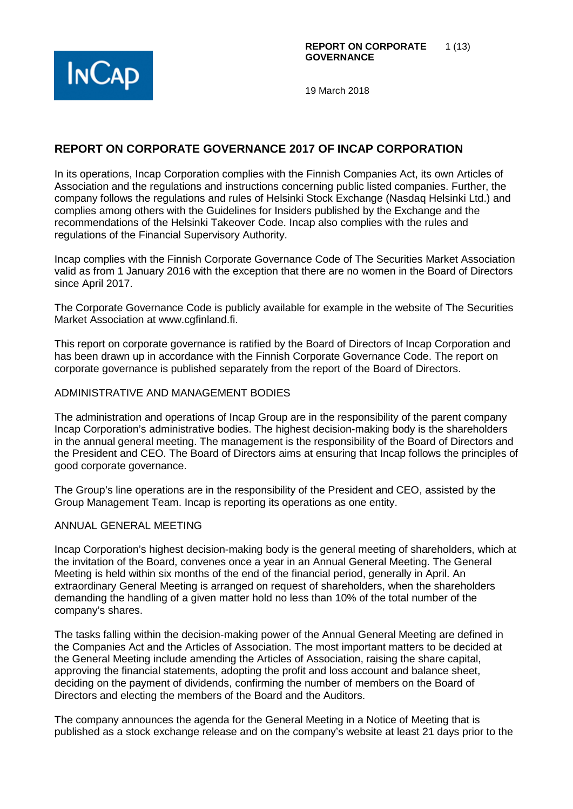



# **REPORT ON CORPORATE GOVERNANCE 2017 OF INCAP CORPORATION**

In its operations, Incap Corporation complies with the Finnish Companies Act, its own Articles of Association and the regulations and instructions concerning public listed companies. Further, the company follows the regulations and rules of Helsinki Stock Exchange (Nasdaq Helsinki Ltd.) and complies among others with the Guidelines for Insiders published by the Exchange and the recommendations of the Helsinki Takeover Code. Incap also complies with the rules and regulations of the Financial Supervisory Authority.

Incap complies with the Finnish Corporate Governance Code of The Securities Market Association valid as from 1 January 2016 with the exception that there are no women in the Board of Directors since April 2017.

The Corporate Governance Code is publicly available for example in the website of The Securities Market Association at www.cgfinland.fi.

This report on corporate governance is ratified by the Board of Directors of Incap Corporation and has been drawn up in accordance with the Finnish Corporate Governance Code. The report on corporate governance is published separately from the report of the Board of Directors.

#### ADMINISTRATIVE AND MANAGEMENT BODIES

The administration and operations of Incap Group are in the responsibility of the parent company Incap Corporation's administrative bodies. The highest decision-making body is the shareholders in the annual general meeting. The management is the responsibility of the Board of Directors and the President and CEO. The Board of Directors aims at ensuring that Incap follows the principles of good corporate governance.

The Group's line operations are in the responsibility of the President and CEO, assisted by the Group Management Team. Incap is reporting its operations as one entity.

#### ANNUAL GENERAL MEETING

Incap Corporation's highest decision-making body is the general meeting of shareholders, which at the invitation of the Board, convenes once a year in an Annual General Meeting. The General Meeting is held within six months of the end of the financial period, generally in April. An extraordinary General Meeting is arranged on request of shareholders, when the shareholders demanding the handling of a given matter hold no less than 10% of the total number of the company's shares.

The tasks falling within the decision-making power of the Annual General Meeting are defined in the Companies Act and the Articles of Association. The most important matters to be decided at the General Meeting include amending the Articles of Association, raising the share capital, approving the financial statements, adopting the profit and loss account and balance sheet, deciding on the payment of dividends, confirming the number of members on the Board of Directors and electing the members of the Board and the Auditors.

The company announces the agenda for the General Meeting in a Notice of Meeting that is published as a stock exchange release and on the company's website at least 21 days prior to the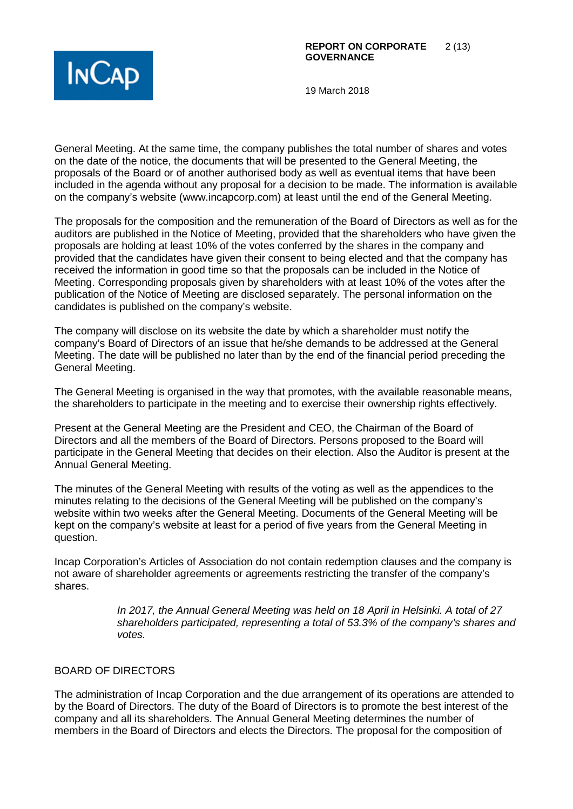

General Meeting. At the same time, the company publishes the total number of shares and votes on the date of the notice, the documents that will be presented to the General Meeting, the proposals of the Board or of another authorised body as well as eventual items that have been included in the agenda without any proposal for a decision to be made. The information is available on the company's website (www.incapcorp.com) at least until the end of the General Meeting.

The proposals for the composition and the remuneration of the Board of Directors as well as for the auditors are published in the Notice of Meeting, provided that the shareholders who have given the proposals are holding at least 10% of the votes conferred by the shares in the company and provided that the candidates have given their consent to being elected and that the company has received the information in good time so that the proposals can be included in the Notice of Meeting. Corresponding proposals given by shareholders with at least 10% of the votes after the publication of the Notice of Meeting are disclosed separately. The personal information on the candidates is published on the company's website.

The company will disclose on its website the date by which a shareholder must notify the company's Board of Directors of an issue that he/she demands to be addressed at the General Meeting. The date will be published no later than by the end of the financial period preceding the General Meeting.

The General Meeting is organised in the way that promotes, with the available reasonable means, the shareholders to participate in the meeting and to exercise their ownership rights effectively.

Present at the General Meeting are the President and CEO, the Chairman of the Board of Directors and all the members of the Board of Directors. Persons proposed to the Board will participate in the General Meeting that decides on their election. Also the Auditor is present at the Annual General Meeting.

The minutes of the General Meeting with results of the voting as well as the appendices to the minutes relating to the decisions of the General Meeting will be published on the company's website within two weeks after the General Meeting. Documents of the General Meeting will be kept on the company's website at least for a period of five years from the General Meeting in question.

Incap Corporation's Articles of Association do not contain redemption clauses and the company is not aware of shareholder agreements or agreements restricting the transfer of the company's shares.

> *In 2017, the Annual General Meeting was held on 18 April in Helsinki. A total of 27 shareholders participated, representing a total of 53.3% of the company's shares and votes.*

### BOARD OF DIRECTORS

The administration of Incap Corporation and the due arrangement of its operations are attended to by the Board of Directors. The duty of the Board of Directors is to promote the best interest of the company and all its shareholders. The Annual General Meeting determines the number of members in the Board of Directors and elects the Directors. The proposal for the composition of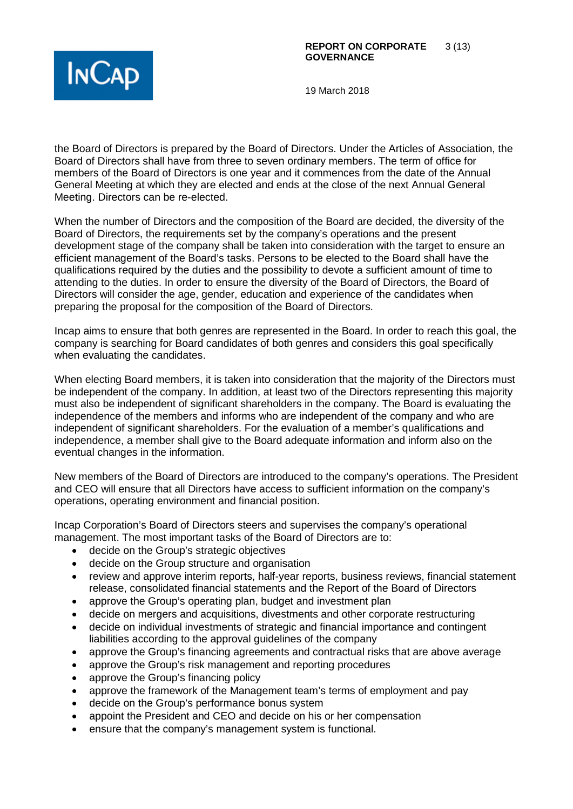

the Board of Directors is prepared by the Board of Directors. Under the Articles of Association, the Board of Directors shall have from three to seven ordinary members. The term of office for members of the Board of Directors is one year and it commences from the date of the Annual General Meeting at which they are elected and ends at the close of the next Annual General Meeting. Directors can be re-elected.

When the number of Directors and the composition of the Board are decided, the diversity of the Board of Directors, the requirements set by the company's operations and the present development stage of the company shall be taken into consideration with the target to ensure an efficient management of the Board's tasks. Persons to be elected to the Board shall have the qualifications required by the duties and the possibility to devote a sufficient amount of time to attending to the duties. In order to ensure the diversity of the Board of Directors, the Board of Directors will consider the age, gender, education and experience of the candidates when preparing the proposal for the composition of the Board of Directors.

Incap aims to ensure that both genres are represented in the Board. In order to reach this goal, the company is searching for Board candidates of both genres and considers this goal specifically when evaluating the candidates.

When electing Board members, it is taken into consideration that the majority of the Directors must be independent of the company. In addition, at least two of the Directors representing this majority must also be independent of significant shareholders in the company. The Board is evaluating the independence of the members and informs who are independent of the company and who are independent of significant shareholders. For the evaluation of a member's qualifications and independence, a member shall give to the Board adequate information and inform also on the eventual changes in the information.

New members of the Board of Directors are introduced to the company's operations. The President and CEO will ensure that all Directors have access to sufficient information on the company's operations, operating environment and financial position.

Incap Corporation's Board of Directors steers and supervises the company's operational management. The most important tasks of the Board of Directors are to:

- decide on the Group's strategic objectives
- decide on the Group structure and organisation
- review and approve interim reports, half-year reports, business reviews, financial statement release, consolidated financial statements and the Report of the Board of Directors
- approve the Group's operating plan, budget and investment plan
- decide on mergers and acquisitions, divestments and other corporate restructuring
- decide on individual investments of strategic and financial importance and contingent liabilities according to the approval guidelines of the company
- approve the Group's financing agreements and contractual risks that are above average
- approve the Group's risk management and reporting procedures
- approve the Group's financing policy
- approve the framework of the Management team's terms of employment and pay
- decide on the Group's performance bonus system
- appoint the President and CEO and decide on his or her compensation
- ensure that the company's management system is functional.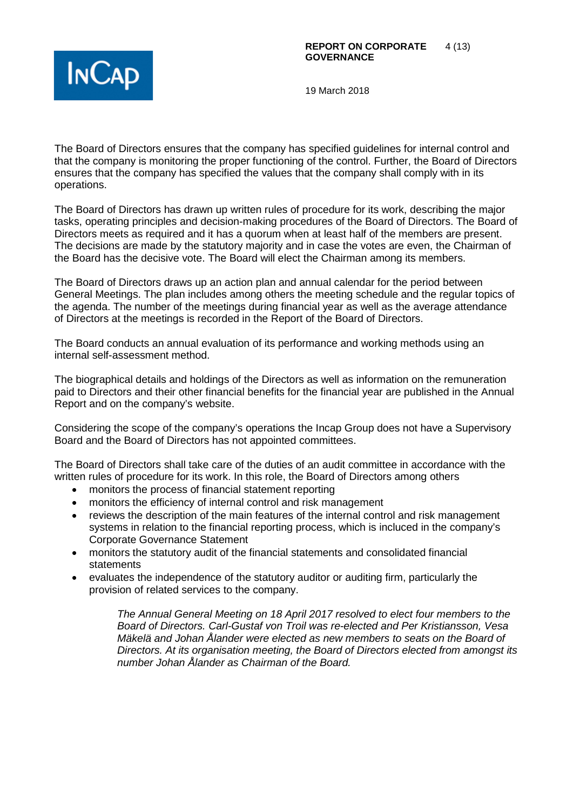

The Board of Directors ensures that the company has specified guidelines for internal control and that the company is monitoring the proper functioning of the control. Further, the Board of Directors ensures that the company has specified the values that the company shall comply with in its operations.

The Board of Directors has drawn up written rules of procedure for its work, describing the major tasks, operating principles and decision-making procedures of the Board of Directors. The Board of Directors meets as required and it has a quorum when at least half of the members are present. The decisions are made by the statutory majority and in case the votes are even, the Chairman of the Board has the decisive vote. The Board will elect the Chairman among its members.

The Board of Directors draws up an action plan and annual calendar for the period between General Meetings. The plan includes among others the meeting schedule and the regular topics of the agenda. The number of the meetings during financial year as well as the average attendance of Directors at the meetings is recorded in the Report of the Board of Directors.

The Board conducts an annual evaluation of its performance and working methods using an internal self-assessment method.

The biographical details and holdings of the Directors as well as information on the remuneration paid to Directors and their other financial benefits for the financial year are published in the Annual Report and on the company's website.

Considering the scope of the company's operations the Incap Group does not have a Supervisory Board and the Board of Directors has not appointed committees.

The Board of Directors shall take care of the duties of an audit committee in accordance with the written rules of procedure for its work. In this role, the Board of Directors among others

- monitors the process of financial statement reporting
- monitors the efficiency of internal control and risk management
- reviews the description of the main features of the internal control and risk management systems in relation to the financial reporting process, which is incluced in the company's Corporate Governance Statement
- monitors the statutory audit of the financial statements and consolidated financial statements
- evaluates the independence of the statutory auditor or auditing firm, particularly the provision of related services to the company.

*The Annual General Meeting on 18 April 2017 resolved to elect four members to the Board of Directors. Carl-Gustaf von Troil was re-elected and Per Kristiansson, Vesa Mäkelä and Johan Ålander were elected as new members to seats on the Board of Directors. At its organisation meeting, the Board of Directors elected from amongst its number Johan Ålander as Chairman of the Board.*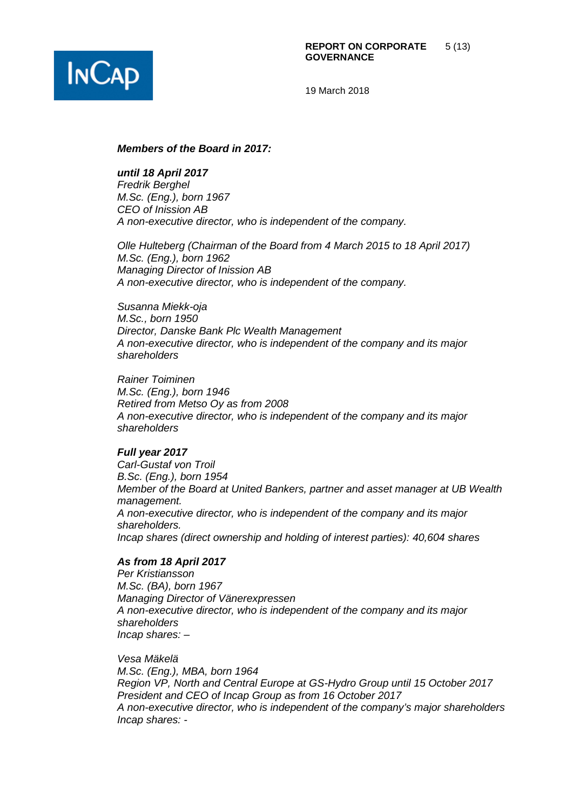

#### *Members of the Board in 2017:*

*until 18 April 2017*

*Fredrik Berghel M.Sc. (Eng.), born 1967 CEO of Inission AB A non-executive director, who is independent of the company.*

*Olle Hulteberg (Chairman of the Board from 4 March 2015 to 18 April 2017) M.Sc. (Eng.), born 1962 Managing Director of Inission AB A non-executive director, who is independent of the company.*

*Susanna Miekk-oja M.Sc., born 1950 Director, Danske Bank Plc Wealth Management A non-executive director, who is independent of the company and its major shareholders*

*Rainer Toiminen M.Sc. (Eng.), born 1946 Retired from Metso Oy as from 2008 A non-executive director, who is independent of the company and its major shareholders*

#### *Full year 2017*

*Carl-Gustaf von Troil B.Sc. (Eng.), born 1954 Member of the Board at United Bankers, partner and asset manager at UB Wealth management. A non-executive director, who is independent of the company and its major shareholders. Incap shares (direct ownership and holding of interest parties): 40,604 shares*

#### *As from 18 April 2017*

*Per Kristiansson M.Sc. (BA), born 1967 Managing Director of Vänerexpressen A non-executive director, who is independent of the company and its major shareholders Incap shares: –*

*Vesa Mäkelä M.Sc. (Eng.), MBA, born 1964 Region VP, North and Central Europe at GS-Hydro Group until 15 October 2017 President and CEO of Incap Group as from 16 October 2017 A non-executive director, who is independent of the company's major shareholders Incap shares: -*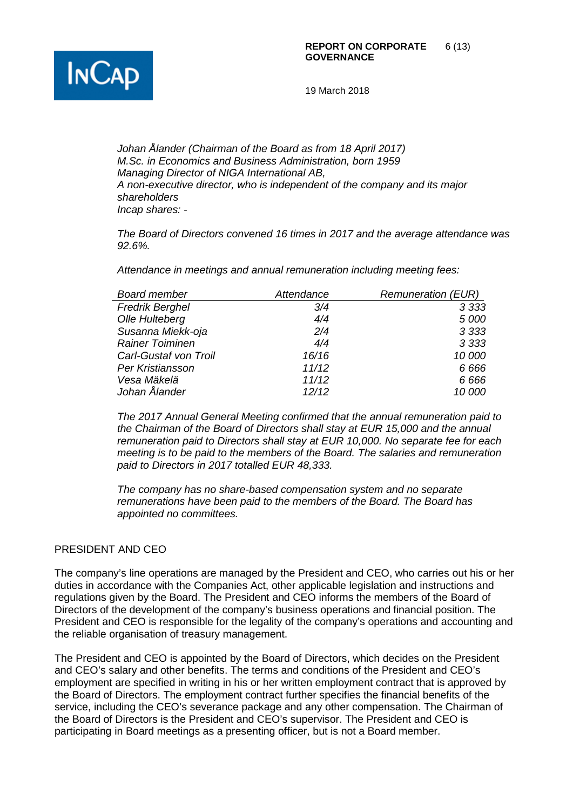

*Johan Ålander (Chairman of the Board as from 18 April 2017) M.Sc. in Economics and Business Administration, born 1959 Managing Director of NIGA International AB, A non-executive director, who is independent of the company and its major shareholders Incap shares: -*

*The Board of Directors convened 16 times in 2017 and the average attendance was 92.6%.*

*Attendance in meetings and annual remuneration including meeting fees:*

| <b>Board member</b>    | Attendance | <b>Remuneration (EUR)</b> |
|------------------------|------------|---------------------------|
| <b>Fredrik Berghel</b> | 3/4        | 3 3 3 3                   |
| Olle Hulteberg         | 4/4        | 5 000                     |
| Susanna Miekk-oja      | 2/4        | 3 3 3 3                   |
| <b>Rainer Toiminen</b> | 4/4        | 3 3 3 3                   |
| Carl-Gustaf von Troil  | 16/16      | 10 000                    |
| Per Kristiansson       | 11/12      | 6 6 6 6                   |
| Vesa Mäkelä            | 11/12      | 6 6 6 6                   |
| Johan Ålander          | 12/12      | 10 000                    |

*The 2017 Annual General Meeting confirmed that the annual remuneration paid to the Chairman of the Board of Directors shall stay at EUR 15,000 and the annual remuneration paid to Directors shall stay at EUR 10,000. No separate fee for each meeting is to be paid to the members of the Board. The salaries and remuneration paid to Directors in 2017 totalled EUR 48,333.*

*The company has no share-based compensation system and no separate remunerations have been paid to the members of the Board. The Board has appointed no committees.*

### PRESIDENT AND CEO

The company's line operations are managed by the President and CEO, who carries out his or her duties in accordance with the Companies Act, other applicable legislation and instructions and regulations given by the Board. The President and CEO informs the members of the Board of Directors of the development of the company's business operations and financial position. The President and CEO is responsible for the legality of the company's operations and accounting and the reliable organisation of treasury management.

The President and CEO is appointed by the Board of Directors, which decides on the President and CEO's salary and other benefits. The terms and conditions of the President and CEO's employment are specified in writing in his or her written employment contract that is approved by the Board of Directors. The employment contract further specifies the financial benefits of the service, including the CEO's severance package and any other compensation. The Chairman of the Board of Directors is the President and CEO's supervisor. The President and CEO is participating in Board meetings as a presenting officer, but is not a Board member.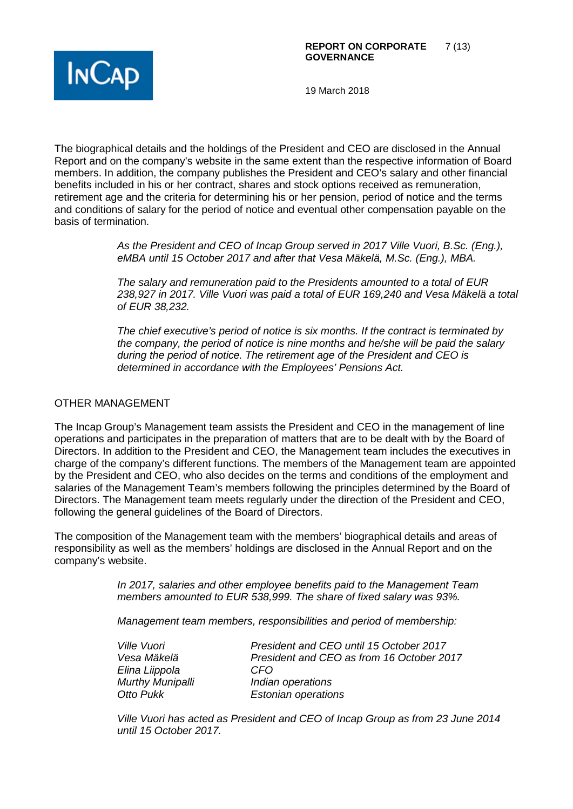

The biographical details and the holdings of the President and CEO are disclosed in the Annual Report and on the company's website in the same extent than the respective information of Board members. In addition, the company publishes the President and CEO's salary and other financial benefits included in his or her contract, shares and stock options received as remuneration, retirement age and the criteria for determining his or her pension, period of notice and the terms and conditions of salary for the period of notice and eventual other compensation payable on the basis of termination.

> *As the President and CEO of Incap Group served in 2017 Ville Vuori, B.Sc. (Eng.), eMBA until 15 October 2017 and after that Vesa Mäkelä, M.Sc. (Eng.), MBA.*

*The salary and remuneration paid to the Presidents amounted to a total of EUR 238,927 in 2017. Ville Vuori was paid a total of EUR 169,240 and Vesa Mäkelä a total of EUR 38,232.*

*The chief executive's period of notice is six months. If the contract is terminated by the company, the period of notice is nine months and he/she will be paid the salary during the period of notice. The retirement age of the President and CEO is determined in accordance with the Employees' Pensions Act.* 

### OTHER MANAGEMENT

The Incap Group's Management team assists the President and CEO in the management of line operations and participates in the preparation of matters that are to be dealt with by the Board of Directors. In addition to the President and CEO, the Management team includes the executives in charge of the company's different functions. The members of the Management team are appointed by the President and CEO, who also decides on the terms and conditions of the employment and salaries of the Management Team's members following the principles determined by the Board of Directors. The Management team meets regularly under the direction of the President and CEO, following the general guidelines of the Board of Directors.

The composition of the Management team with the members' biographical details and areas of responsibility as well as the members' holdings are disclosed in the Annual Report and on the company's website.

> *In 2017, salaries and other employee benefits paid to the Management Team members amounted to EUR 538,999. The share of fixed salary was 93%.*

*Management team members, responsibilities and period of membership:*

| Ville Vuori      | President and CEO until 15 October 2017   |
|------------------|-------------------------------------------|
| Vesa Mäkelä      | President and CEO as from 16 October 2017 |
| Elina Liippola   | CFO                                       |
| Murthy Munipalli | Indian operations                         |
| Otto Pukk        | <b>Estonian operations</b>                |

*Ville Vuori has acted as President and CEO of Incap Group as from 23 June 2014 until 15 October 2017.*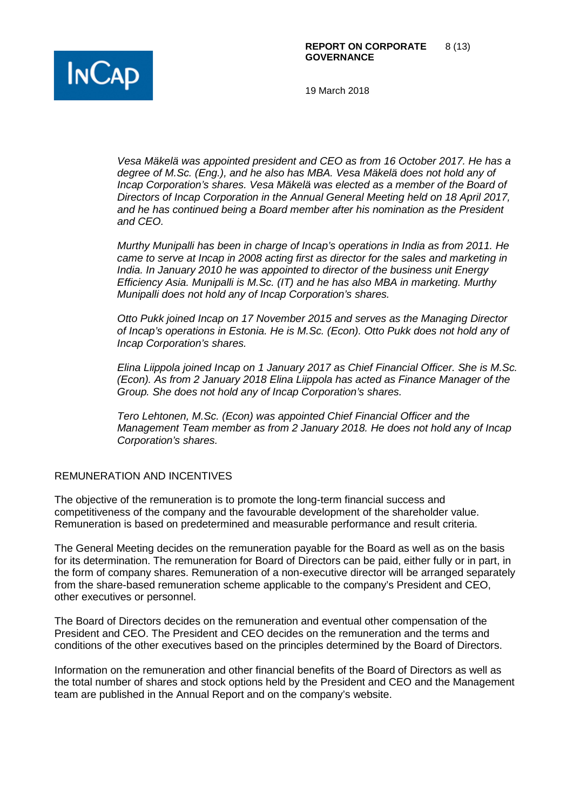

*Vesa Mäkelä was appointed president and CEO as from 16 October 2017. He has a degree of M.Sc. (Eng.), and he also has MBA. Vesa Mäkelä does not hold any of Incap Corporation's shares. Vesa Mäkelä was elected as a member of the Board of Directors of Incap Corporation in the Annual General Meeting held on 18 April 2017, and he has continued being a Board member after his nomination as the President and CEO.*

*Murthy Munipalli has been in charge of Incap's operations in India as from 2011. He came to serve at Incap in 2008 acting first as director for the sales and marketing in India. In January 2010 he was appointed to director of the business unit Energy Efficiency Asia. Munipalli is M.Sc. (IT) and he has also MBA in marketing. Murthy Munipalli does not hold any of Incap Corporation's shares.* 

*Otto Pukk joined Incap on 17 November 2015 and serves as the Managing Director of Incap's operations in Estonia. He is M.Sc. (Econ). Otto Pukk does not hold any of Incap Corporation's shares.* 

*Elina Liippola joined Incap on 1 January 2017 as Chief Financial Officer. She is M.Sc. (Econ). As from 2 January 2018 Elina Liippola has acted as Finance Manager of the Group. She does not hold any of Incap Corporation's shares.*

*Tero Lehtonen, M.Sc. (Econ) was appointed Chief Financial Officer and the Management Team member as from 2 January 2018. He does not hold any of Incap Corporation's shares.* 

### REMUNERATION AND INCENTIVES

The objective of the remuneration is to promote the long-term financial success and competitiveness of the company and the favourable development of the shareholder value. Remuneration is based on predetermined and measurable performance and result criteria.

The General Meeting decides on the remuneration payable for the Board as well as on the basis for its determination. The remuneration for Board of Directors can be paid, either fully or in part, in the form of company shares. Remuneration of a non-executive director will be arranged separately from the share-based remuneration scheme applicable to the company's President and CEO, other executives or personnel.

The Board of Directors decides on the remuneration and eventual other compensation of the President and CEO. The President and CEO decides on the remuneration and the terms and conditions of the other executives based on the principles determined by the Board of Directors.

Information on the remuneration and other financial benefits of the Board of Directors as well as the total number of shares and stock options held by the President and CEO and the Management team are published in the Annual Report and on the company's website.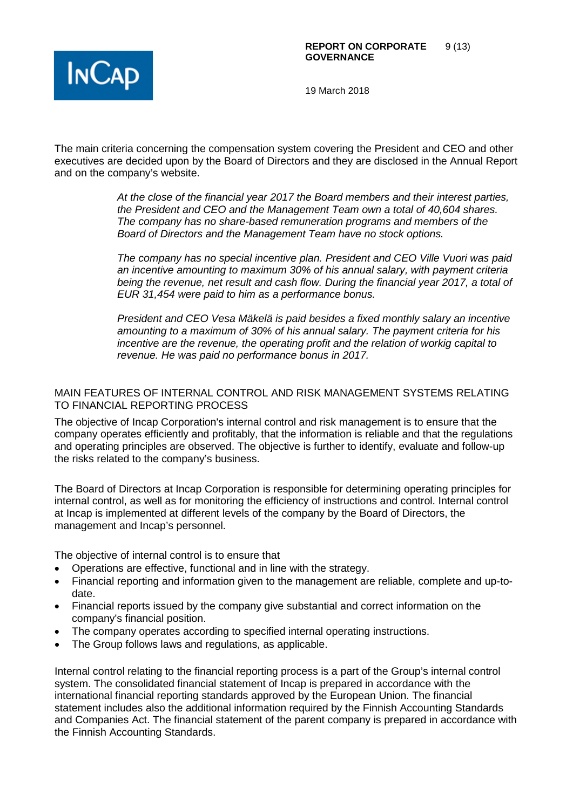

The main criteria concerning the compensation system covering the President and CEO and other executives are decided upon by the Board of Directors and they are disclosed in the Annual Report and on the company's website.

> *At the close of the financial year 2017 the Board members and their interest parties, the President and CEO and the Management Team own a total of 40,604 shares. The company has no share-based remuneration programs and members of the Board of Directors and the Management Team have no stock options.*

*The company has no special incentive plan. President and CEO Ville Vuori was paid an incentive amounting to maximum 30% of his annual salary, with payment criteria being the revenue, net result and cash flow. During the financial year 2017, a total of EUR 31,454 were paid to him as a performance bonus.*

*President and CEO Vesa Mäkelä is paid besides a fixed monthly salary an incentive amounting to a maximum of 30% of his annual salary. The payment criteria for his incentive are the revenue, the operating profit and the relation of workig capital to revenue. He was paid no performance bonus in 2017.*

### MAIN FEATURES OF INTERNAL CONTROL AND RISK MANAGEMENT SYSTEMS RELATING TO FINANCIAL REPORTING PROCESS

The objective of Incap Corporation's internal control and risk management is to ensure that the company operates efficiently and profitably, that the information is reliable and that the regulations and operating principles are observed. The objective is further to identify, evaluate and follow-up the risks related to the company's business.

The Board of Directors at Incap Corporation is responsible for determining operating principles for internal control, as well as for monitoring the efficiency of instructions and control. Internal control at Incap is implemented at different levels of the company by the Board of Directors, the management and Incap's personnel.

The objective of internal control is to ensure that

- Operations are effective, functional and in line with the strategy.
- Financial reporting and information given to the management are reliable, complete and up-todate.
- Financial reports issued by the company give substantial and correct information on the company's financial position.
- The company operates according to specified internal operating instructions.
- The Group follows laws and regulations, as applicable.

Internal control relating to the financial reporting process is a part of the Group's internal control system. The consolidated financial statement of Incap is prepared in accordance with the international financial reporting standards approved by the European Union. The financial statement includes also the additional information required by the Finnish Accounting Standards and Companies Act. The financial statement of the parent company is prepared in accordance with the Finnish Accounting Standards.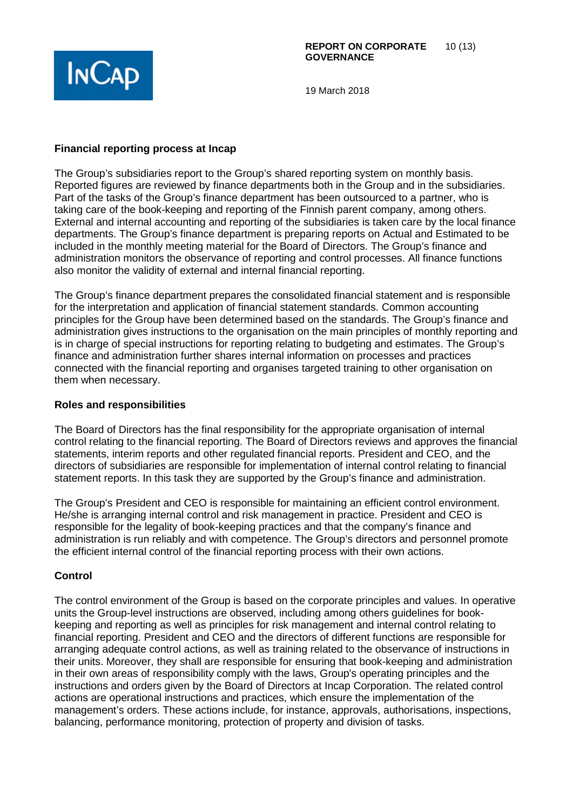

# **Financial reporting process at Incap**

The Group's subsidiaries report to the Group's shared reporting system on monthly basis. Reported figures are reviewed by finance departments both in the Group and in the subsidiaries. Part of the tasks of the Group's finance department has been outsourced to a partner, who is taking care of the book-keeping and reporting of the Finnish parent company, among others. External and internal accounting and reporting of the subsidiaries is taken care by the local finance departments. The Group's finance department is preparing reports on Actual and Estimated to be included in the monthly meeting material for the Board of Directors. The Group's finance and administration monitors the observance of reporting and control processes. All finance functions also monitor the validity of external and internal financial reporting.

The Group's finance department prepares the consolidated financial statement and is responsible for the interpretation and application of financial statement standards. Common accounting principles for the Group have been determined based on the standards. The Group's finance and administration gives instructions to the organisation on the main principles of monthly reporting and is in charge of special instructions for reporting relating to budgeting and estimates. The Group's finance and administration further shares internal information on processes and practices connected with the financial reporting and organises targeted training to other organisation on them when necessary.

# **Roles and responsibilities**

The Board of Directors has the final responsibility for the appropriate organisation of internal control relating to the financial reporting. The Board of Directors reviews and approves the financial statements, interim reports and other regulated financial reports. President and CEO, and the directors of subsidiaries are responsible for implementation of internal control relating to financial statement reports. In this task they are supported by the Group's finance and administration.

The Group's President and CEO is responsible for maintaining an efficient control environment. He/she is arranging internal control and risk management in practice. President and CEO is responsible for the legality of book-keeping practices and that the company's finance and administration is run reliably and with competence. The Group's directors and personnel promote the efficient internal control of the financial reporting process with their own actions.

# **Control**

The control environment of the Group is based on the corporate principles and values. In operative units the Group-level instructions are observed, including among others guidelines for bookkeeping and reporting as well as principles for risk management and internal control relating to financial reporting. President and CEO and the directors of different functions are responsible for arranging adequate control actions, as well as training related to the observance of instructions in their units. Moreover, they shall are responsible for ensuring that book-keeping and administration in their own areas of responsibility comply with the laws, Group's operating principles and the instructions and orders given by the Board of Directors at Incap Corporation. The related control actions are operational instructions and practices, which ensure the implementation of the management's orders. These actions include, for instance, approvals, authorisations, inspections, balancing, performance monitoring, protection of property and division of tasks.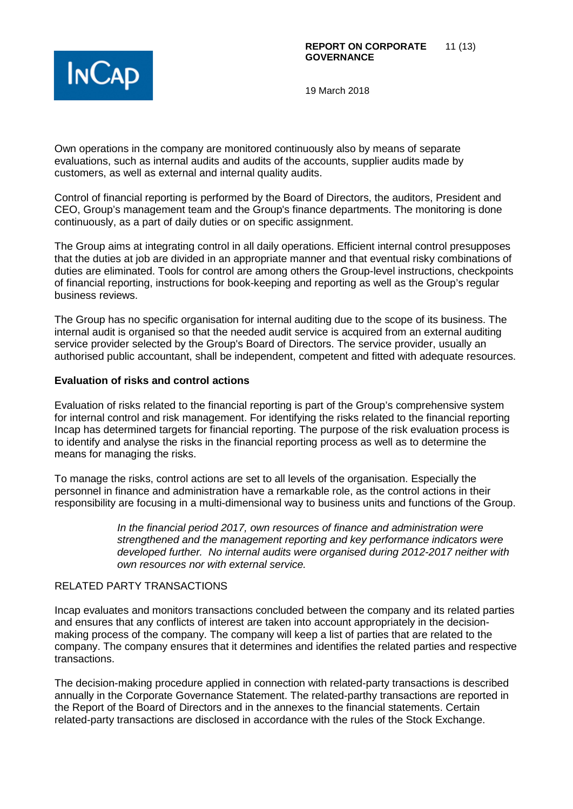

Own operations in the company are monitored continuously also by means of separate evaluations, such as internal audits and audits of the accounts, supplier audits made by customers, as well as external and internal quality audits.

Control of financial reporting is performed by the Board of Directors, the auditors, President and CEO, Group's management team and the Group's finance departments. The monitoring is done continuously, as a part of daily duties or on specific assignment.

The Group aims at integrating control in all daily operations. Efficient internal control presupposes that the duties at job are divided in an appropriate manner and that eventual risky combinations of duties are eliminated. Tools for control are among others the Group-level instructions, checkpoints of financial reporting, instructions for book-keeping and reporting as well as the Group's regular business reviews.

The Group has no specific organisation for internal auditing due to the scope of its business. The internal audit is organised so that the needed audit service is acquired from an external auditing service provider selected by the Group's Board of Directors. The service provider, usually an authorised public accountant, shall be independent, competent and fitted with adequate resources.

### **Evaluation of risks and control actions**

Evaluation of risks related to the financial reporting is part of the Group's comprehensive system for internal control and risk management. For identifying the risks related to the financial reporting Incap has determined targets for financial reporting. The purpose of the risk evaluation process is to identify and analyse the risks in the financial reporting process as well as to determine the means for managing the risks.

To manage the risks, control actions are set to all levels of the organisation. Especially the personnel in finance and administration have a remarkable role, as the control actions in their responsibility are focusing in a multi-dimensional way to business units and functions of the Group.

> *In the financial period 2017, own resources of finance and administration were strengthened and the management reporting and key performance indicators were developed further. No internal audits were organised during 2012-2017 neither with own resources nor with external service.*

# RELATED PARTY TRANSACTIONS

Incap evaluates and monitors transactions concluded between the company and its related parties and ensures that any conflicts of interest are taken into account appropriately in the decisionmaking process of the company. The company will keep a list of parties that are related to the company. The company ensures that it determines and identifies the related parties and respective transactions.

The decision-making procedure applied in connection with related-party transactions is described annually in the Corporate Governance Statement. The related-parthy transactions are reported in the Report of the Board of Directors and in the annexes to the financial statements. Certain related-party transactions are disclosed in accordance with the rules of the Stock Exchange.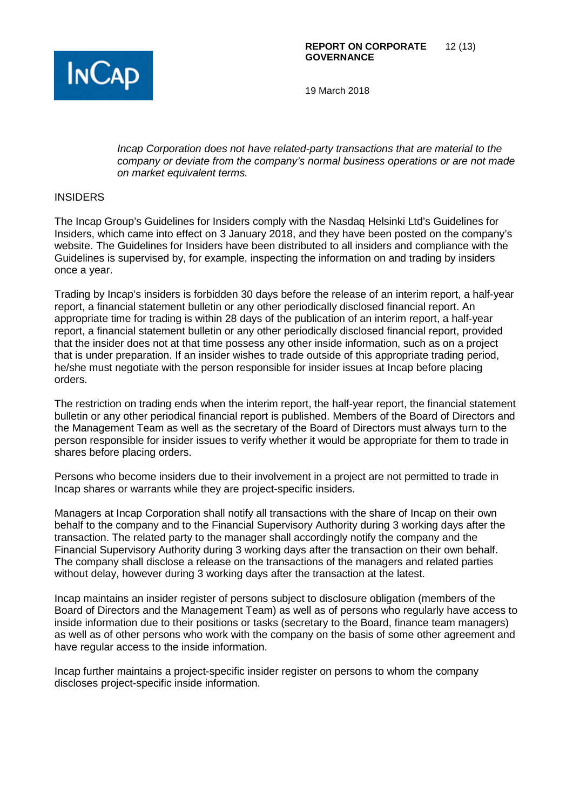

*Incap Corporation does not have related-party transactions that are material to the company or deviate from the company's normal business operations or are not made on market equivalent terms.*

### INSIDERS

The Incap Group's Guidelines for Insiders comply with the Nasdaq Helsinki Ltd's Guidelines for Insiders, which came into effect on 3 January 2018, and they have been posted on the company's website. The Guidelines for Insiders have been distributed to all insiders and compliance with the Guidelines is supervised by, for example, inspecting the information on and trading by insiders once a year.

Trading by Incap's insiders is forbidden 30 days before the release of an interim report, a half-year report, a financial statement bulletin or any other periodically disclosed financial report. An appropriate time for trading is within 28 days of the publication of an interim report, a half-year report, a financial statement bulletin or any other periodically disclosed financial report, provided that the insider does not at that time possess any other inside information, such as on a project that is under preparation. If an insider wishes to trade outside of this appropriate trading period, he/she must negotiate with the person responsible for insider issues at Incap before placing orders.

The restriction on trading ends when the interim report, the half-year report, the financial statement bulletin or any other periodical financial report is published. Members of the Board of Directors and the Management Team as well as the secretary of the Board of Directors must always turn to the person responsible for insider issues to verify whether it would be appropriate for them to trade in shares before placing orders.

Persons who become insiders due to their involvement in a project are not permitted to trade in Incap shares or warrants while they are project-specific insiders.

Managers at Incap Corporation shall notify all transactions with the share of Incap on their own behalf to the company and to the Financial Supervisory Authority during 3 working days after the transaction. The related party to the manager shall accordingly notify the company and the Financial Supervisory Authority during 3 working days after the transaction on their own behalf. The company shall disclose a release on the transactions of the managers and related parties without delay, however during 3 working days after the transaction at the latest.

Incap maintains an insider register of persons subject to disclosure obligation (members of the Board of Directors and the Management Team) as well as of persons who regularly have access to inside information due to their positions or tasks (secretary to the Board, finance team managers) as well as of other persons who work with the company on the basis of some other agreement and have regular access to the inside information.

Incap further maintains a project-specific insider register on persons to whom the company discloses project-specific inside information.